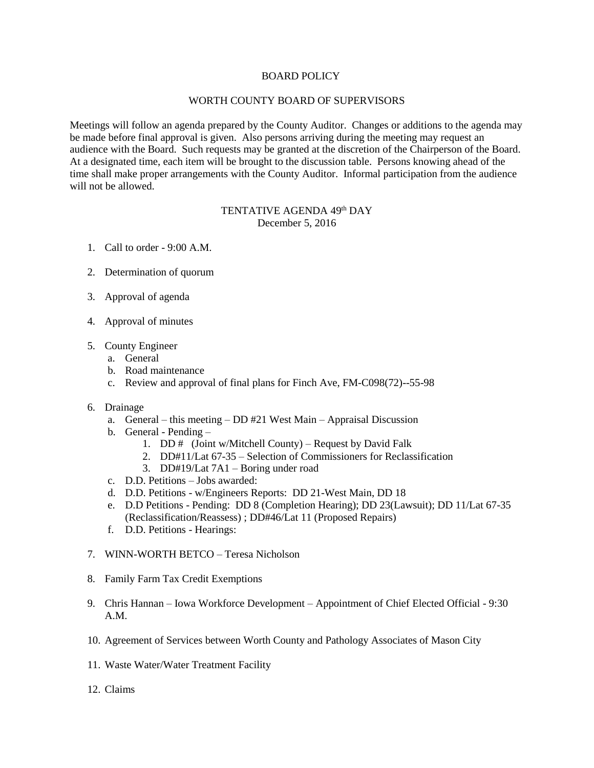## BOARD POLICY

## WORTH COUNTY BOARD OF SUPERVISORS

Meetings will follow an agenda prepared by the County Auditor. Changes or additions to the agenda may be made before final approval is given. Also persons arriving during the meeting may request an audience with the Board. Such requests may be granted at the discretion of the Chairperson of the Board. At a designated time, each item will be brought to the discussion table. Persons knowing ahead of the time shall make proper arrangements with the County Auditor. Informal participation from the audience will not be allowed.

## TENTATIVE AGENDA 49<sup>th</sup> DAY December 5, 2016

- 1. Call to order 9:00 A.M.
- 2. Determination of quorum
- 3. Approval of agenda
- 4. Approval of minutes
- 5. County Engineer
	- a. General
	- b. Road maintenance
	- c. Review and approval of final plans for Finch Ave, FM-C098(72)--55-98
- 6. Drainage
	- a. General this meeting DD #21 West Main Appraisal Discussion
	- b. General Pending
		- 1. DD  $#$  (Joint w/Mitchell County) Request by David Falk
		- 2. DD#11/Lat 67-35 Selection of Commissioners for Reclassification
		- 3. DD#19/Lat 7A1 Boring under road
	- c. D.D. Petitions Jobs awarded:
	- d. D.D. Petitions w/Engineers Reports: DD 21-West Main, DD 18
	- e. D.D Petitions Pending: DD 8 (Completion Hearing); DD 23(Lawsuit); DD 11/Lat 67-35 (Reclassification/Reassess) ; DD#46/Lat 11 (Proposed Repairs)
	- f. D.D. Petitions Hearings:
- 7. WINN-WORTH BETCO Teresa Nicholson
- 8. Family Farm Tax Credit Exemptions
- 9. Chris Hannan Iowa Workforce Development Appointment of Chief Elected Official 9:30 A.M.
- 10. Agreement of Services between Worth County and Pathology Associates of Mason City
- 11. Waste Water/Water Treatment Facility
- 12. Claims